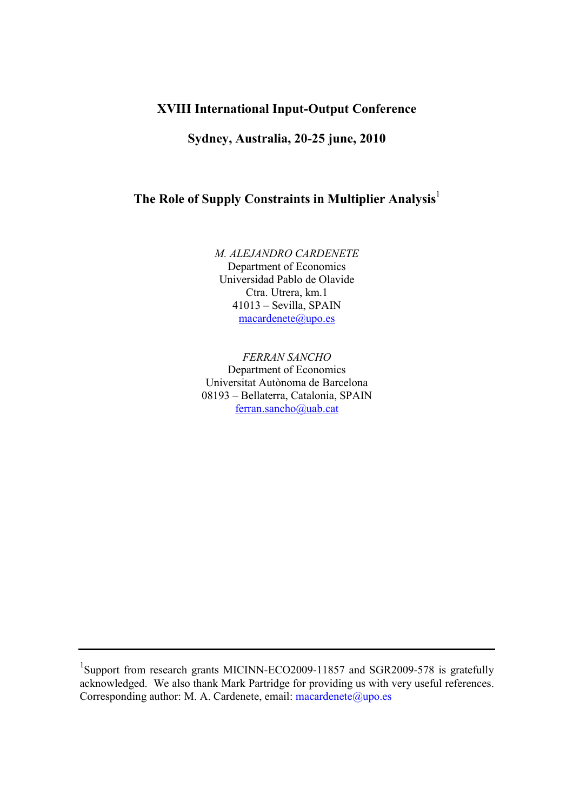## XVIII International Input-Output Conference

Sydney, Australia, 20-25 june, 2010

# The Role of Supply Constraints in Multiplier Analysis<sup>1</sup>

M. ALEJANDRO CARDENETE Department of Economics Universidad Pablo de Olavide Ctra. Utrera, km.1 41013 – Sevilla, SPAIN macardenete@upo.es

FERRAN SANCHO Department of Economics Universitat Autònoma de Barcelona 08193 – Bellaterra, Catalonia, SPAIN ferran.sancho@uab.cat

<sup>&</sup>lt;sup>1</sup>Support from research grants MICINN-ECO2009-11857 and SGR2009-578 is gratefully acknowledged. We also thank Mark Partridge for providing us with very useful references. Corresponding author: M. A. Cardenete, email:  $\text{ macardente}(\textcircled{a}, \text{upo. es})$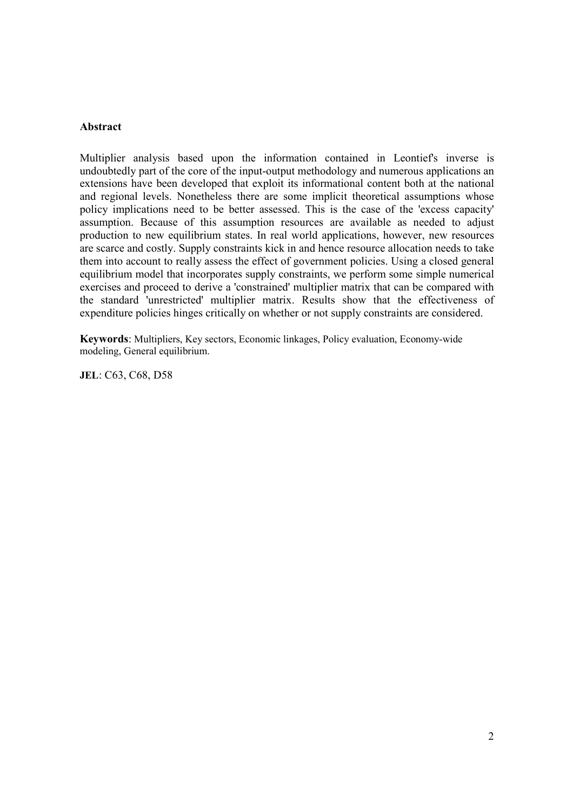### Abstract

Multiplier analysis based upon the information contained in Leontief's inverse is undoubtedly part of the core of the input-output methodology and numerous applications an extensions have been developed that exploit its informational content both at the national and regional levels. Nonetheless there are some implicit theoretical assumptions whose policy implications need to be better assessed. This is the case of the 'excess capacity' assumption. Because of this assumption resources are available as needed to adjust production to new equilibrium states. In real world applications, however, new resources are scarce and costly. Supply constraints kick in and hence resource allocation needs to take them into account to really assess the effect of government policies. Using a closed general equilibrium model that incorporates supply constraints, we perform some simple numerical exercises and proceed to derive a 'constrained' multiplier matrix that can be compared with the standard 'unrestricted' multiplier matrix. Results show that the effectiveness of expenditure policies hinges critically on whether or not supply constraints are considered.

Keywords: Multipliers, Key sectors, Economic linkages, Policy evaluation, Economy-wide modeling, General equilibrium.

JEL: C63, C68, D58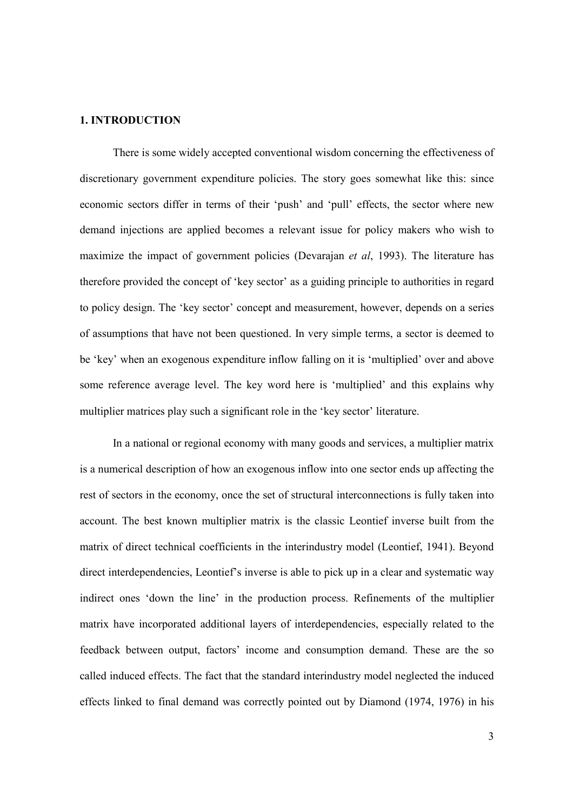#### 1. INTRODUCTION

There is some widely accepted conventional wisdom concerning the effectiveness of discretionary government expenditure policies. The story goes somewhat like this: since economic sectors differ in terms of their 'push' and 'pull' effects, the sector where new demand injections are applied becomes a relevant issue for policy makers who wish to maximize the impact of government policies (Devarajan *et al*, 1993). The literature has therefore provided the concept of 'key sector' as a guiding principle to authorities in regard to policy design. The 'key sector' concept and measurement, however, depends on a series of assumptions that have not been questioned. In very simple terms, a sector is deemed to be 'key' when an exogenous expenditure inflow falling on it is 'multiplied' over and above some reference average level. The key word here is 'multiplied' and this explains why multiplier matrices play such a significant role in the 'key sector' literature.

In a national or regional economy with many goods and services, a multiplier matrix is a numerical description of how an exogenous inflow into one sector ends up affecting the rest of sectors in the economy, once the set of structural interconnections is fully taken into account. The best known multiplier matrix is the classic Leontief inverse built from the matrix of direct technical coefficients in the interindustry model (Leontief, 1941). Beyond direct interdependencies, Leontief's inverse is able to pick up in a clear and systematic way indirect ones 'down the line' in the production process. Refinements of the multiplier matrix have incorporated additional layers of interdependencies, especially related to the feedback between output, factors' income and consumption demand. These are the so called induced effects. The fact that the standard interindustry model neglected the induced effects linked to final demand was correctly pointed out by Diamond (1974, 1976) in his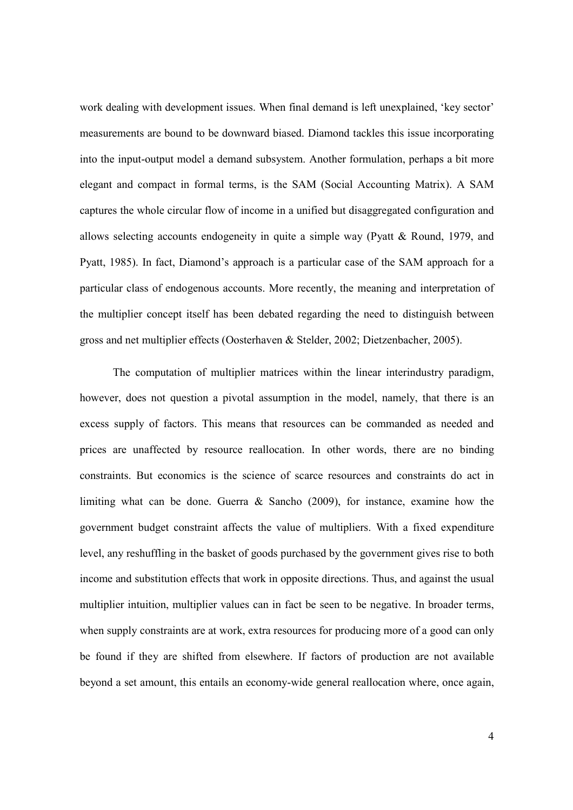work dealing with development issues. When final demand is left unexplained, 'key sector' measurements are bound to be downward biased. Diamond tackles this issue incorporating into the input-output model a demand subsystem. Another formulation, perhaps a bit more elegant and compact in formal terms, is the SAM (Social Accounting Matrix). A SAM captures the whole circular flow of income in a unified but disaggregated configuration and allows selecting accounts endogeneity in quite a simple way (Pyatt & Round, 1979, and Pyatt, 1985). In fact, Diamond's approach is a particular case of the SAM approach for a particular class of endogenous accounts. More recently, the meaning and interpretation of the multiplier concept itself has been debated regarding the need to distinguish between gross and net multiplier effects (Oosterhaven & Stelder, 2002; Dietzenbacher, 2005).

The computation of multiplier matrices within the linear interindustry paradigm, however, does not question a pivotal assumption in the model, namely, that there is an excess supply of factors. This means that resources can be commanded as needed and prices are unaffected by resource reallocation. In other words, there are no binding constraints. But economics is the science of scarce resources and constraints do act in limiting what can be done. Guerra & Sancho (2009), for instance, examine how the government budget constraint affects the value of multipliers. With a fixed expenditure level, any reshuffling in the basket of goods purchased by the government gives rise to both income and substitution effects that work in opposite directions. Thus, and against the usual multiplier intuition, multiplier values can in fact be seen to be negative. In broader terms, when supply constraints are at work, extra resources for producing more of a good can only be found if they are shifted from elsewhere. If factors of production are not available beyond a set amount, this entails an economy-wide general reallocation where, once again,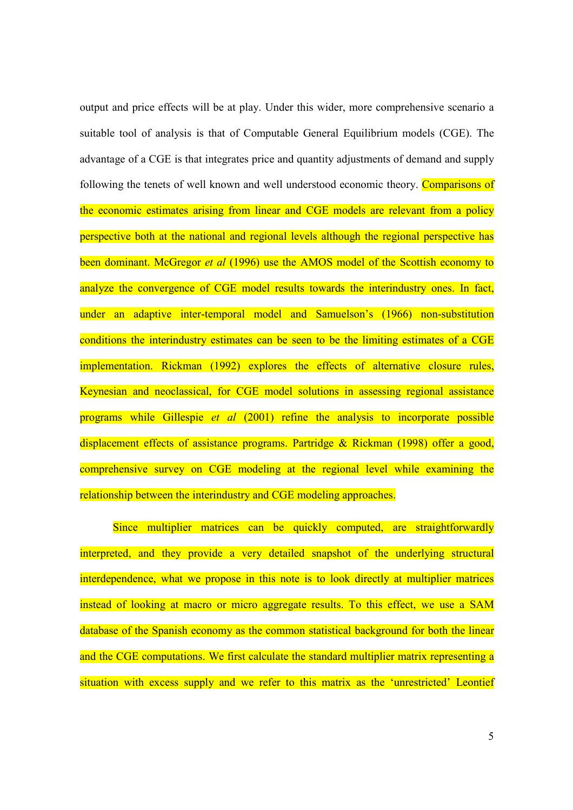output and price effects will be at play. Under this wider, more comprehensive scenario a suitable tool of analysis is that of Computable General Equilibrium models (CGE). The advantage of a CGE is that integrates price and quantity adjustments of demand and supply following the tenets of well known and well understood economic theory. Comparisons of the economic estimates arising from linear and CGE models are relevant from a policy perspective both at the national and regional levels although the regional perspective has been dominant. McGregor *et al* (1996) use the AMOS model of the Scottish economy to analyze the convergence of CGE model results towards the interindustry ones. In fact, under an adaptive inter-temporal model and Samuelson's (1966) non-substitution conditions the interindustry estimates can be seen to be the limiting estimates of a CGE implementation. Rickman (1992) explores the effects of alternative closure rules, Keynesian and neoclassical, for CGE model solutions in assessing regional assistance programs while Gillespie *et al* (2001) refine the analysis to incorporate possible displacement effects of assistance programs. Partridge & Rickman (1998) offer a good, comprehensive survey on CGE modeling at the regional level while examining the relationship between the interindustry and CGE modeling approaches.

Since multiplier matrices can be quickly computed, are straightforwardly interpreted, and they provide a very detailed snapshot of the underlying structural interdependence, what we propose in this note is to look directly at multiplier matrices instead of looking at macro or micro aggregate results. To this effect, we use a SAM database of the Spanish economy as the common statistical background for both the linear and the CGE computations. We first calculate the standard multiplier matrix representing a situation with excess supply and we refer to this matrix as the 'unrestricted' Leontief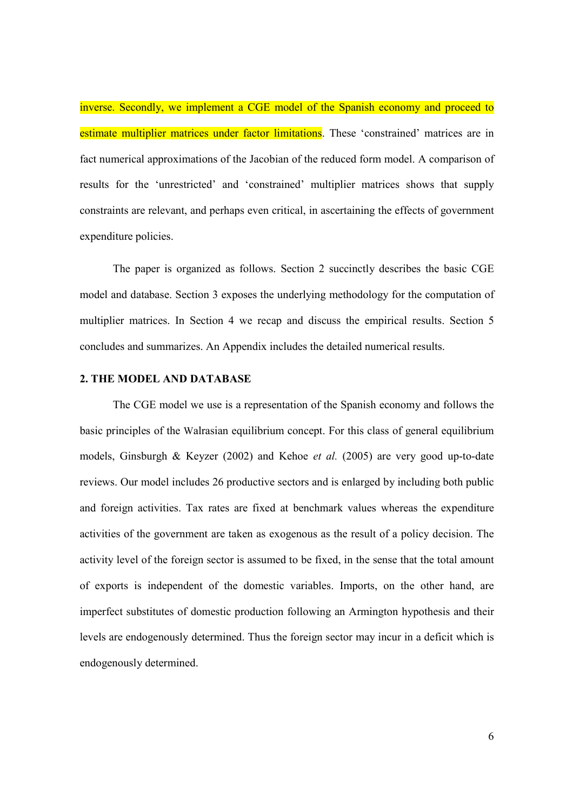inverse. Secondly, we implement a CGE model of the Spanish economy and proceed to estimate multiplier matrices under factor limitations. These 'constrained' matrices are in fact numerical approximations of the Jacobian of the reduced form model. A comparison of results for the 'unrestricted' and 'constrained' multiplier matrices shows that supply constraints are relevant, and perhaps even critical, in ascertaining the effects of government expenditure policies.

The paper is organized as follows. Section 2 succinctly describes the basic CGE model and database. Section 3 exposes the underlying methodology for the computation of multiplier matrices. In Section 4 we recap and discuss the empirical results. Section 5 concludes and summarizes. An Appendix includes the detailed numerical results.

### 2. THE MODEL AND DATABASE

The CGE model we use is a representation of the Spanish economy and follows the basic principles of the Walrasian equilibrium concept. For this class of general equilibrium models, Ginsburgh & Keyzer (2002) and Kehoe et al. (2005) are very good up-to-date reviews. Our model includes 26 productive sectors and is enlarged by including both public and foreign activities. Tax rates are fixed at benchmark values whereas the expenditure activities of the government are taken as exogenous as the result of a policy decision. The activity level of the foreign sector is assumed to be fixed, in the sense that the total amount of exports is independent of the domestic variables. Imports, on the other hand, are imperfect substitutes of domestic production following an Armington hypothesis and their levels are endogenously determined. Thus the foreign sector may incur in a deficit which is endogenously determined.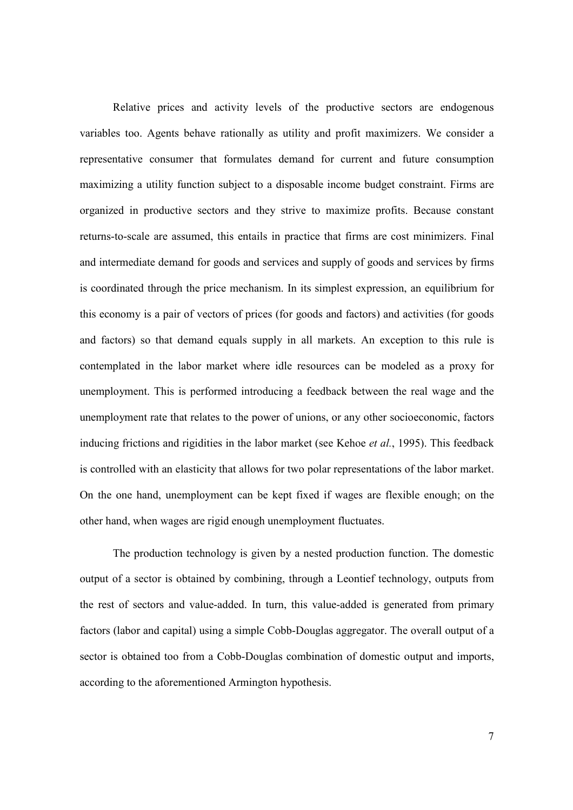Relative prices and activity levels of the productive sectors are endogenous variables too. Agents behave rationally as utility and profit maximizers. We consider a representative consumer that formulates demand for current and future consumption maximizing a utility function subject to a disposable income budget constraint. Firms are organized in productive sectors and they strive to maximize profits. Because constant returns-to-scale are assumed, this entails in practice that firms are cost minimizers. Final and intermediate demand for goods and services and supply of goods and services by firms is coordinated through the price mechanism. In its simplest expression, an equilibrium for this economy is a pair of vectors of prices (for goods and factors) and activities (for goods and factors) so that demand equals supply in all markets. An exception to this rule is contemplated in the labor market where idle resources can be modeled as a proxy for unemployment. This is performed introducing a feedback between the real wage and the unemployment rate that relates to the power of unions, or any other socioeconomic, factors inducing frictions and rigidities in the labor market (see Kehoe *et al.*, 1995). This feedback is controlled with an elasticity that allows for two polar representations of the labor market. On the one hand, unemployment can be kept fixed if wages are flexible enough; on the other hand, when wages are rigid enough unemployment fluctuates.

The production technology is given by a nested production function. The domestic output of a sector is obtained by combining, through a Leontief technology, outputs from the rest of sectors and value-added. In turn, this value-added is generated from primary factors (labor and capital) using a simple Cobb-Douglas aggregator. The overall output of a sector is obtained too from a Cobb-Douglas combination of domestic output and imports, according to the aforementioned Armington hypothesis.

7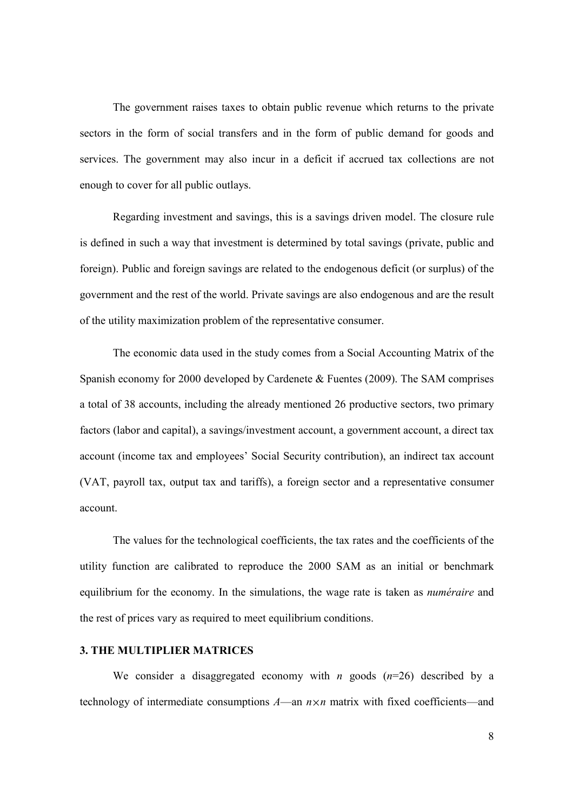The government raises taxes to obtain public revenue which returns to the private sectors in the form of social transfers and in the form of public demand for goods and services. The government may also incur in a deficit if accrued tax collections are not enough to cover for all public outlays.

Regarding investment and savings, this is a savings driven model. The closure rule is defined in such a way that investment is determined by total savings (private, public and foreign). Public and foreign savings are related to the endogenous deficit (or surplus) of the government and the rest of the world. Private savings are also endogenous and are the result of the utility maximization problem of the representative consumer.

The economic data used in the study comes from a Social Accounting Matrix of the Spanish economy for 2000 developed by Cardenete & Fuentes (2009). The SAM comprises a total of 38 accounts, including the already mentioned 26 productive sectors, two primary factors (labor and capital), a savings/investment account, a government account, a direct tax account (income tax and employees' Social Security contribution), an indirect tax account (VAT, payroll tax, output tax and tariffs), a foreign sector and a representative consumer account.

The values for the technological coefficients, the tax rates and the coefficients of the utility function are calibrated to reproduce the 2000 SAM as an initial or benchmark equilibrium for the economy. In the simulations, the wage rate is taken as numéraire and the rest of prices vary as required to meet equilibrium conditions.

### 3. THE MULTIPLIER MATRICES

We consider a disaggregated economy with *n* goods  $(n=26)$  described by a technology of intermediate consumptions  $A$ —an  $n \times n$  matrix with fixed coefficients—and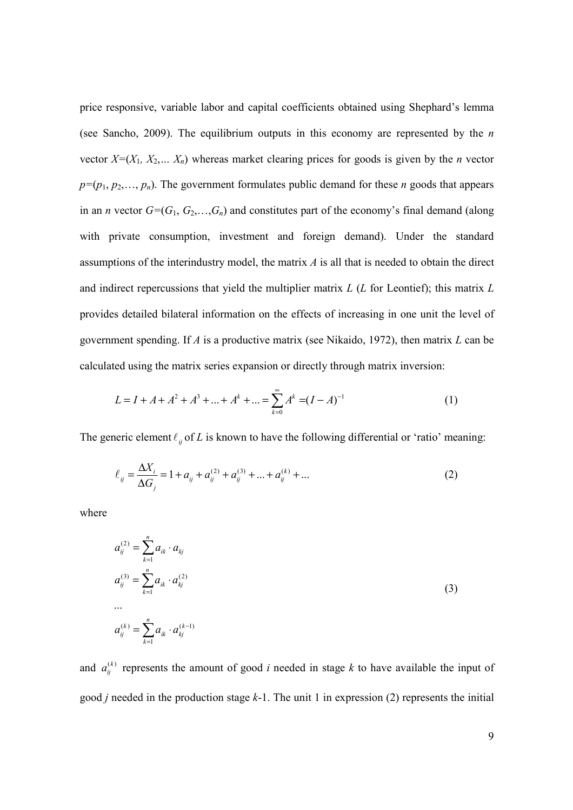price responsive, variable labor and capital coefficients obtained using Shephard's lemma (see Sancho, 2009). The equilibrium outputs in this economy are represented by the  $n$ vector  $X=(X_1, X_2,..., X_n)$  whereas market clearing prices for goods is given by the *n* vector  $p=(p_1, p_2,..., p_n)$ . The government formulates public demand for these *n* goods that appears in an *n* vector  $G=(G_1, G_2,...,G_n)$  and constitutes part of the economy's final demand (along with private consumption, investment and foreign demand). Under the standard assumptions of the interindustry model, the matrix  $A$  is all that is needed to obtain the direct and indirect repercussions that yield the multiplier matrix  $L(L)$  for Leontief); this matrix  $L$ provides detailed bilateral information on the effects of increasing in one unit the level of government spending. If A is a productive matrix (see Nikaido, 1972), then matrix L can be calculated using the matrix series expansion or directly through matrix inversion:

$$
L = I + A + A2 + A3 + ... + Ak + ... = \sum_{k=0}^{\infty} Ak = (I - A)-1
$$
 (1)

The generic element  $\ell_{ij}$  of L is known to have the following differential or 'ratio' meaning:

$$
\ell_{ij} = \frac{\Delta X_i}{\Delta G_j} = 1 + a_{ij} + a_{ij}^{(2)} + a_{ij}^{(3)} + \dots + a_{ij}^{(k)} + \dots
$$
 (2)

where

$$
a_{ij}^{(2)} = \sum_{k=1}^{n} a_{ik} \cdot a_{kj}
$$
  
\n
$$
a_{ij}^{(3)} = \sum_{k=1}^{n} a_{ik} \cdot a_{kj}^{(2)}
$$
  
\n...  
\n
$$
a_{ij}^{(k)} = \sum_{k=1}^{n} a_{ik} \cdot a_{kj}^{(k-1)}
$$
\n(3)

and  $a_{ij}^{(k)}$  represents the amount of good i needed in stage k to have available the input of good *j* needed in the production stage  $k-1$ . The unit 1 in expression (2) represents the initial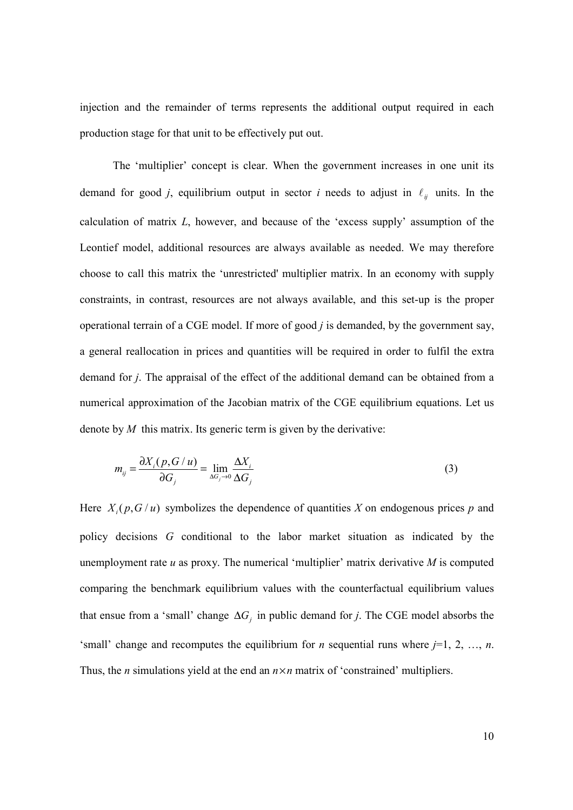injection and the remainder of terms represents the additional output required in each production stage for that unit to be effectively put out.

The 'multiplier' concept is clear. When the government increases in one unit its demand for good j, equilibrium output in sector i needs to adjust in  $\ell_{ij}$  units. In the calculation of matrix  $L$ , however, and because of the 'excess supply' assumption of the Leontief model, additional resources are always available as needed. We may therefore choose to call this matrix the 'unrestricted' multiplier matrix. In an economy with supply constraints, in contrast, resources are not always available, and this set-up is the proper operational terrain of a CGE model. If more of good  $j$  is demanded, by the government say, a general reallocation in prices and quantities will be required in order to fulfil the extra demand for j. The appraisal of the effect of the additional demand can be obtained from a numerical approximation of the Jacobian matrix of the CGE equilibrium equations. Let us denote by  $M$  this matrix. Its generic term is given by the derivative:

$$
m_{ij} = \frac{\partial X_i(p, G/u)}{\partial G_j} = \lim_{\Delta G_j \to 0} \frac{\Delta X_i}{\Delta G_j}
$$
(3)

Here  $X_i(p, G/u)$  symbolizes the dependence of quantities X on endogenous prices p and policy decisions G conditional to the labor market situation as indicated by the unemployment rate  $u$  as proxy. The numerical 'multiplier' matrix derivative  $M$  is computed comparing the benchmark equilibrium values with the counterfactual equilibrium values that ensue from a 'small' change  $\Delta G_j$  in public demand for j. The CGE model absorbs the 'small' change and recomputes the equilibrium for *n* sequential runs where  $j=1, 2, ..., n$ . Thus, the *n* simulations yield at the end an  $n \times n$  matrix of 'constrained' multipliers.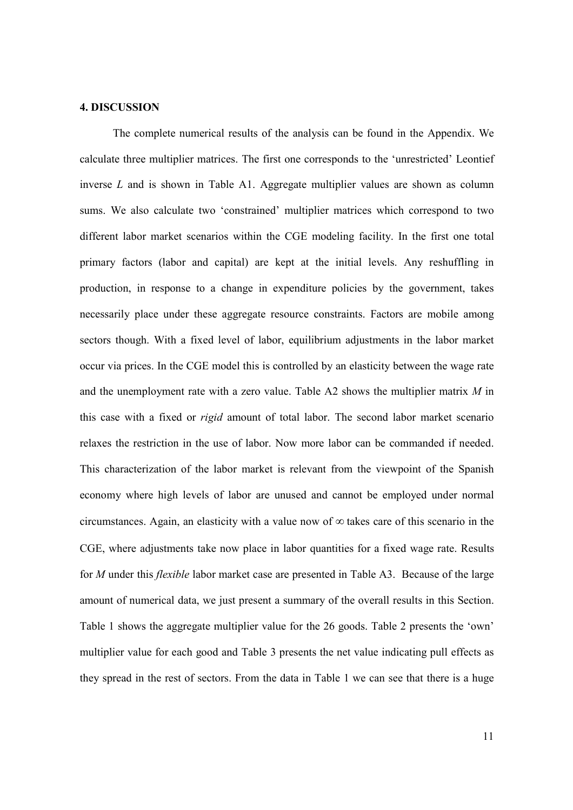#### 4. DISCUSSION

The complete numerical results of the analysis can be found in the Appendix. We calculate three multiplier matrices. The first one corresponds to the 'unrestricted' Leontief inverse  $L$  and is shown in Table A1. Aggregate multiplier values are shown as column sums. We also calculate two 'constrained' multiplier matrices which correspond to two different labor market scenarios within the CGE modeling facility. In the first one total primary factors (labor and capital) are kept at the initial levels. Any reshuffling in production, in response to a change in expenditure policies by the government, takes necessarily place under these aggregate resource constraints. Factors are mobile among sectors though. With a fixed level of labor, equilibrium adjustments in the labor market occur via prices. In the CGE model this is controlled by an elasticity between the wage rate and the unemployment rate with a zero value. Table A2 shows the multiplier matrix  $M$  in this case with a fixed or rigid amount of total labor. The second labor market scenario relaxes the restriction in the use of labor. Now more labor can be commanded if needed. This characterization of the labor market is relevant from the viewpoint of the Spanish economy where high levels of labor are unused and cannot be employed under normal circumstances. Again, an elasticity with a value now of  $\infty$  takes care of this scenario in the CGE, where adjustments take now place in labor quantities for a fixed wage rate. Results for *M* under this *flexible* labor market case are presented in Table A3. Because of the large amount of numerical data, we just present a summary of the overall results in this Section. Table 1 shows the aggregate multiplier value for the 26 goods. Table 2 presents the 'own' multiplier value for each good and Table 3 presents the net value indicating pull effects as they spread in the rest of sectors. From the data in Table 1 we can see that there is a huge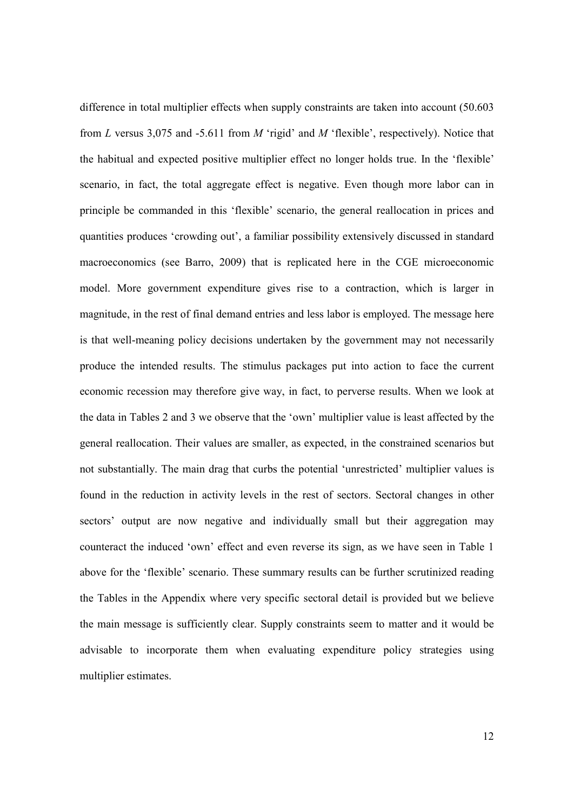difference in total multiplier effects when supply constraints are taken into account (50.603 from L versus 3,075 and -5.611 from M 'rigid' and M 'flexible', respectively). Notice that the habitual and expected positive multiplier effect no longer holds true. In the 'flexible' scenario, in fact, the total aggregate effect is negative. Even though more labor can in principle be commanded in this 'flexible' scenario, the general reallocation in prices and quantities produces 'crowding out', a familiar possibility extensively discussed in standard macroeconomics (see Barro, 2009) that is replicated here in the CGE microeconomic model. More government expenditure gives rise to a contraction, which is larger in magnitude, in the rest of final demand entries and less labor is employed. The message here is that well-meaning policy decisions undertaken by the government may not necessarily produce the intended results. The stimulus packages put into action to face the current economic recession may therefore give way, in fact, to perverse results. When we look at the data in Tables 2 and 3 we observe that the 'own' multiplier value is least affected by the general reallocation. Their values are smaller, as expected, in the constrained scenarios but not substantially. The main drag that curbs the potential 'unrestricted' multiplier values is found in the reduction in activity levels in the rest of sectors. Sectoral changes in other sectors' output are now negative and individually small but their aggregation may counteract the induced 'own' effect and even reverse its sign, as we have seen in Table 1 above for the 'flexible' scenario. These summary results can be further scrutinized reading the Tables in the Appendix where very specific sectoral detail is provided but we believe the main message is sufficiently clear. Supply constraints seem to matter and it would be advisable to incorporate them when evaluating expenditure policy strategies using multiplier estimates.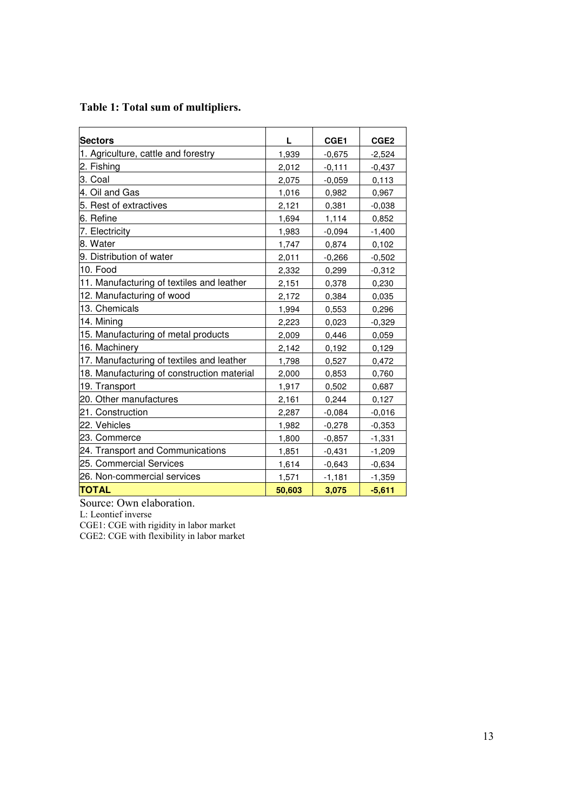| <b>Sectors</b>                             | L      | CGE1     | CGE <sub>2</sub> |
|--------------------------------------------|--------|----------|------------------|
| 1. Agriculture, cattle and forestry        | 1,939  | $-0,675$ | $-2,524$         |
| 2. Fishing                                 | 2,012  | $-0,111$ | $-0,437$         |
| 3. Coal                                    | 2,075  | $-0,059$ | 0,113            |
| 4. Oil and Gas                             | 1,016  | 0,982    | 0,967            |
| 5. Rest of extractives                     | 2,121  | 0,381    | $-0,038$         |
| 6. Refine                                  | 1,694  | 1,114    | 0,852            |
| 7. Electricity                             | 1,983  | $-0,094$ | $-1,400$         |
| 8. Water                                   | 1,747  | 0,874    | 0,102            |
| 9. Distribution of water                   | 2,011  | $-0,266$ | $-0,502$         |
| 10. Food                                   | 2,332  | 0,299    | $-0,312$         |
| 11. Manufacturing of textiles and leather  | 2,151  | 0,378    | 0,230            |
| 12. Manufacturing of wood                  | 2,172  | 0,384    | 0,035            |
| 13. Chemicals                              | 1,994  | 0,553    | 0,296            |
| 14. Mining                                 | 2,223  | 0,023    | $-0,329$         |
| 15. Manufacturing of metal products        | 2,009  | 0,446    | 0,059            |
| 16. Machinery                              | 2,142  | 0,192    | 0,129            |
| 17. Manufacturing of textiles and leather  | 1,798  | 0,527    | 0,472            |
| 18. Manufacturing of construction material | 2,000  | 0,853    | 0,760            |
| 19. Transport                              | 1,917  | 0,502    | 0,687            |
| 20. Other manufactures                     | 2,161  | 0,244    | 0,127            |
| 21. Construction                           | 2,287  | $-0,084$ | $-0,016$         |
| 22. Vehicles                               | 1,982  | $-0,278$ | $-0,353$         |
| 23. Commerce                               | 1,800  | $-0,857$ | $-1,331$         |
| 24. Transport and Communications           | 1,851  | $-0,431$ | $-1,209$         |
| 25. Commercial Services                    | 1,614  | $-0,643$ | $-0,634$         |
| 26. Non-commercial services                | 1,571  | $-1,181$ | $-1,359$         |
| <b>TOTAL</b>                               | 50,603 | 3,075    | $-5,611$         |

# Table 1: Total sum of multipliers.

Source: Own elaboration.

L: Leontief inverse

CGE1: CGE with rigidity in labor market

CGE2: CGE with flexibility in labor market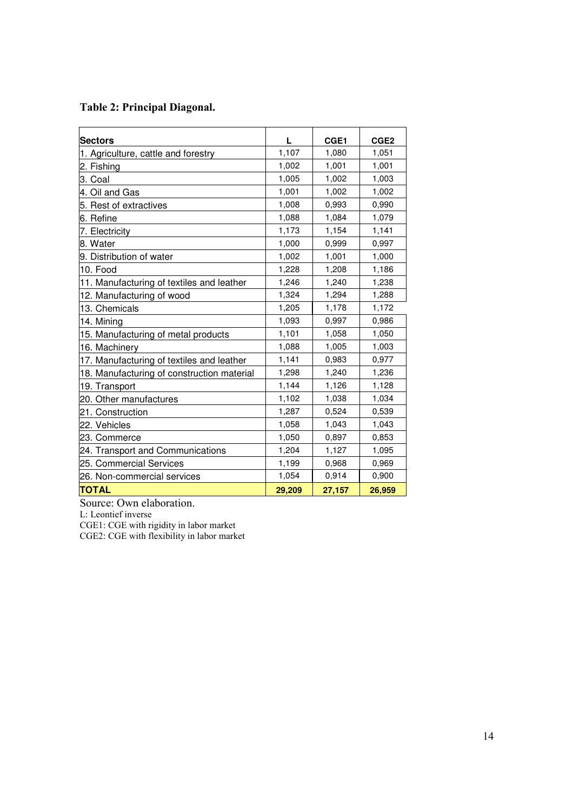# Table 2: Principal Diagonal.

| <b>Sectors</b>                             | L      | CGE1   | CGE <sub>2</sub> |
|--------------------------------------------|--------|--------|------------------|
| 1. Agriculture, cattle and forestry        | 1,107  | 1,080  | 1,051            |
| 2. Fishing                                 | 1,002  | 1,001  | 1,001            |
| 3. Coal                                    | 1,005  | 1,002  | 1,003            |
| 4. Oil and Gas                             | 1,001  | 1,002  | 1,002            |
| 5. Rest of extractives                     | 1,008  | 0,993  | 0,990            |
| 6. Refine                                  | 1,088  | 1,084  | 1,079            |
| 7. Electricity                             | 1,173  | 1,154  | 1,141            |
| 8. Water                                   | 1,000  | 0,999  | 0,997            |
| 9. Distribution of water                   | 1,002  | 1,001  | 1,000            |
| 10. Food                                   | 1,228  | 1,208  | 1,186            |
| 11. Manufacturing of textiles and leather  | 1,246  | 1,240  | 1,238            |
| 12. Manufacturing of wood                  | 1,324  | 1,294  | 1,288            |
| 13. Chemicals                              | 1,205  | 1,178  | 1,172            |
| 14. Mining                                 | 1,093  | 0,997  | 0,986            |
| 15. Manufacturing of metal products        | 1,101  | 1,058  | 1,050            |
| 16. Machinery                              | 1,088  | 1,005  | 1,003            |
| 17. Manufacturing of textiles and leather  | 1,141  | 0,983  | 0,977            |
| 18. Manufacturing of construction material | 1,298  | 1,240  | 1,236            |
| 19. Transport                              | 1,144  | 1,126  | 1,128            |
| 20. Other manufactures                     | 1,102  | 1,038  | 1,034            |
| 21. Construction                           | 1,287  | 0,524  | 0,539            |
| 22. Vehicles                               | 1,058  | 1,043  | 1,043            |
| 23. Commerce                               | 1,050  | 0,897  | 0,853            |
| 24. Transport and Communications           | 1,204  | 1,127  | 1,095            |
| 25. Commercial Services                    | 1,199  | 0,968  | 0,969            |
| 26. Non-commercial services                | 1,054  | 0,914  | 0,900            |
| <b>TOTAL</b>                               | 29,209 | 27,157 | 26.959           |

Source: Own elaboration.

L: Leontief inverse

CGE1: CGE with rigidity in labor market

CGE2: CGE with flexibility in labor market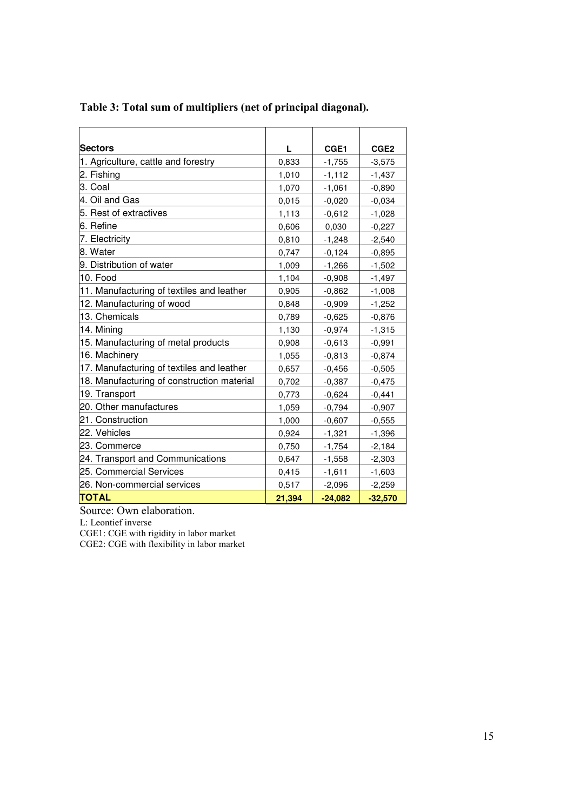| <b>Sectors</b>                             | L      | CGE1      | CGE <sub>2</sub> |
|--------------------------------------------|--------|-----------|------------------|
| 1. Agriculture, cattle and forestry        | 0,833  | $-1,755$  | $-3,575$         |
| 2. Fishing                                 | 1,010  | $-1,112$  | $-1,437$         |
| 3. Coal                                    | 1,070  | $-1,061$  | $-0,890$         |
| 4. Oil and Gas                             | 0,015  | $-0,020$  | $-0,034$         |
| 5. Rest of extractives                     | 1,113  | $-0,612$  | $-1,028$         |
| 6. Refine                                  | 0,606  | 0,030     | $-0,227$         |
| 7. Electricity                             | 0,810  | $-1,248$  | $-2,540$         |
| 8. Water                                   | 0,747  | $-0,124$  | $-0,895$         |
| 9. Distribution of water                   | 1,009  | $-1,266$  | $-1,502$         |
| 10. Food                                   | 1,104  | $-0,908$  | $-1,497$         |
| 11. Manufacturing of textiles and leather  | 0,905  | $-0,862$  | $-1,008$         |
| 12. Manufacturing of wood                  | 0,848  | $-0,909$  | $-1,252$         |
| 13. Chemicals                              | 0,789  | $-0,625$  | $-0,876$         |
| 14. Mining                                 | 1,130  | $-0,974$  | $-1,315$         |
| 15. Manufacturing of metal products        | 0,908  | $-0,613$  | $-0,991$         |
| 16. Machinery                              | 1,055  | $-0,813$  | $-0,874$         |
| 17. Manufacturing of textiles and leather  | 0,657  | $-0,456$  | $-0,505$         |
| 18. Manufacturing of construction material | 0,702  | $-0,387$  | $-0,475$         |
| 19. Transport                              | 0,773  | $-0,624$  | $-0,441$         |
| 20. Other manufactures                     | 1,059  | $-0,794$  | $-0,907$         |
| 21. Construction                           | 1,000  | $-0,607$  | $-0,555$         |
| 22. Vehicles                               | 0,924  | $-1,321$  | $-1,396$         |
| 23. Commerce                               | 0,750  | $-1,754$  | $-2,184$         |
| 24. Transport and Communications           | 0,647  | $-1,558$  | $-2,303$         |
| 25. Commercial Services                    | 0,415  | $-1,611$  | $-1,603$         |
| 26. Non-commercial services                | 0,517  | $-2,096$  | $-2,259$         |
| <b>TOTAL</b>                               | 21,394 | $-24,082$ | $-32,570$        |

# Table 3: Total sum of multipliers (net of principal diagonal).

Source: Own elaboration.

L: Leontief inverse

CGE1: CGE with rigidity in labor market

CGE2: CGE with flexibility in labor market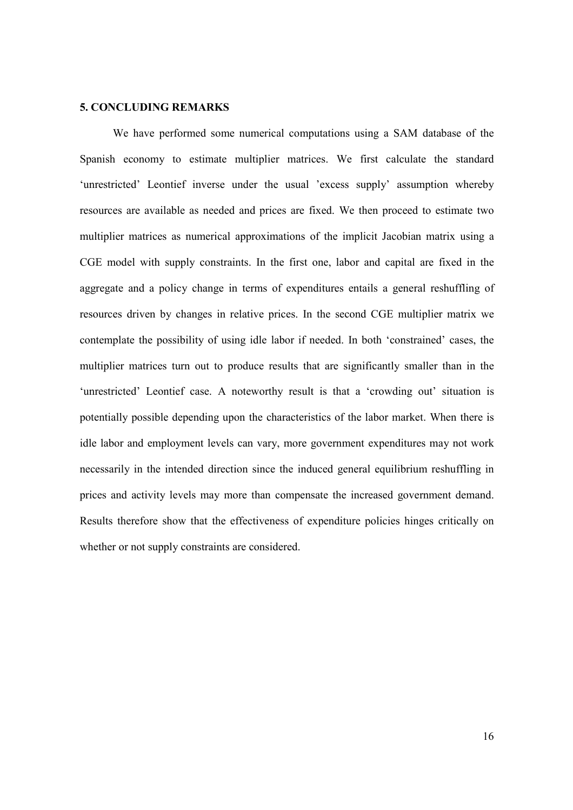#### 5. CONCLUDING REMARKS

We have performed some numerical computations using a SAM database of the Spanish economy to estimate multiplier matrices. We first calculate the standard 'unrestricted' Leontief inverse under the usual 'excess supply' assumption whereby resources are available as needed and prices are fixed. We then proceed to estimate two multiplier matrices as numerical approximations of the implicit Jacobian matrix using a CGE model with supply constraints. In the first one, labor and capital are fixed in the aggregate and a policy change in terms of expenditures entails a general reshuffling of resources driven by changes in relative prices. In the second CGE multiplier matrix we contemplate the possibility of using idle labor if needed. In both 'constrained' cases, the multiplier matrices turn out to produce results that are significantly smaller than in the 'unrestricted' Leontief case. A noteworthy result is that a 'crowding out' situation is potentially possible depending upon the characteristics of the labor market. When there is idle labor and employment levels can vary, more government expenditures may not work necessarily in the intended direction since the induced general equilibrium reshuffling in prices and activity levels may more than compensate the increased government demand. Results therefore show that the effectiveness of expenditure policies hinges critically on whether or not supply constraints are considered.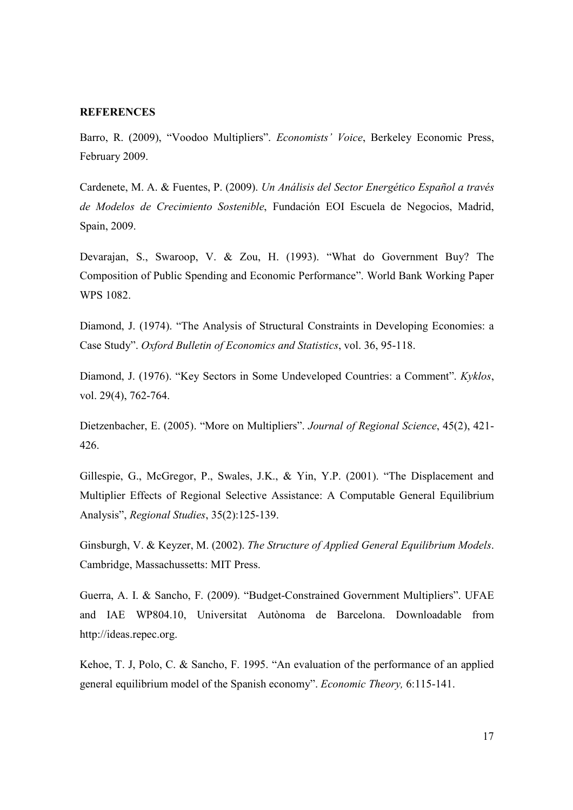#### **REFERENCES**

Barro, R. (2009), "Voodoo Multipliers". Economists' Voice, Berkeley Economic Press, February 2009.

Cardenete, M. A. & Fuentes, P. (2009). Un Análisis del Sector Energético Español a través de Modelos de Crecimiento Sostenible, Fundación EOI Escuela de Negocios, Madrid, Spain, 2009.

Devarajan, S., Swaroop, V. & Zou, H. (1993). "What do Government Buy? The Composition of Public Spending and Economic Performance". World Bank Working Paper WPS 1082.

Diamond, J. (1974). "The Analysis of Structural Constraints in Developing Economies: a Case Study". Oxford Bulletin of Economics and Statistics, vol. 36, 95-118.

Diamond, J. (1976). "Key Sectors in Some Undeveloped Countries: a Comment". Kyklos, vol. 29(4), 762-764.

Dietzenbacher, E. (2005). "More on Multipliers". Journal of Regional Science, 45(2), 421- 426.

Gillespie, G., McGregor, P., Swales, J.K., & Yin, Y.P. (2001). "The Displacement and Multiplier Effects of Regional Selective Assistance: A Computable General Equilibrium Analysis", Regional Studies, 35(2):125-139.

Ginsburgh, V. & Keyzer, M. (2002). The Structure of Applied General Equilibrium Models. Cambridge, Massachussetts: MIT Press.

Guerra, A. I. & Sancho, F. (2009). "Budget-Constrained Government Multipliers". UFAE and IAE WP804.10, Universitat Autònoma de Barcelona. Downloadable from http://ideas.repec.org.

Kehoe, T. J, Polo, C. & Sancho, F. 1995. "An evaluation of the performance of an applied general equilibrium model of the Spanish economy". Economic Theory, 6:115-141.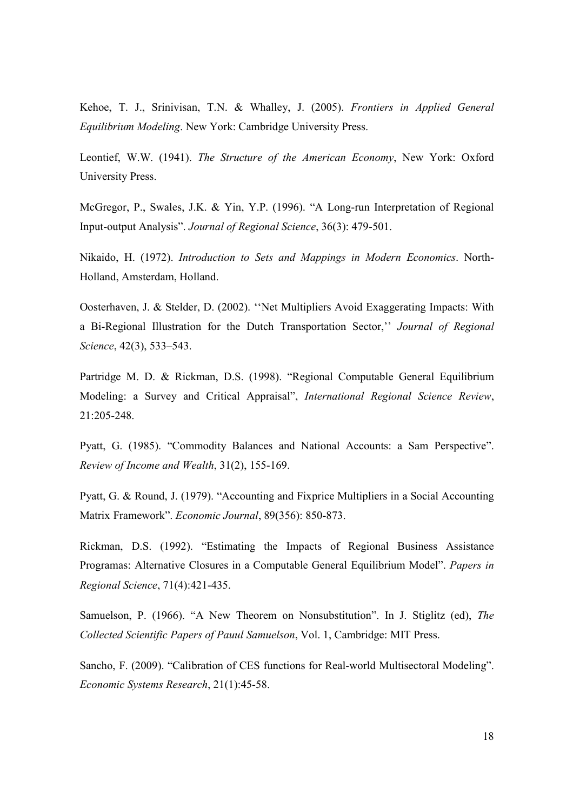Kehoe, T. J., Srinivisan, T.N. & Whalley, J. (2005). Frontiers in Applied General Equilibrium Modeling. New York: Cambridge University Press.

Leontief, W.W. (1941). The Structure of the American Economy, New York: Oxford University Press.

McGregor, P., Swales, J.K. & Yin, Y.P. (1996). "A Long-run Interpretation of Regional Input-output Analysis". Journal of Regional Science, 36(3): 479-501.

Nikaido, H. (1972). Introduction to Sets and Mappings in Modern Economics. North-Holland, Amsterdam, Holland.

Oosterhaven, J. & Stelder, D. (2002). ''Net Multipliers Avoid Exaggerating Impacts: With a Bi-Regional Illustration for the Dutch Transportation Sector,'' Journal of Regional Science, 42(3), 533–543.

Partridge M. D. & Rickman, D.S. (1998). "Regional Computable General Equilibrium Modeling: a Survey and Critical Appraisal", International Regional Science Review, 21:205-248.

Pyatt, G. (1985). "Commodity Balances and National Accounts: a Sam Perspective". Review of Income and Wealth, 31(2), 155-169.

Pyatt, G. & Round, J. (1979). "Accounting and Fixprice Multipliers in a Social Accounting Matrix Framework". Economic Journal, 89(356): 850-873.

Rickman, D.S. (1992). "Estimating the Impacts of Regional Business Assistance Programas: Alternative Closures in a Computable General Equilibrium Model". Papers in Regional Science, 71(4):421-435.

Samuelson, P. (1966). "A New Theorem on Nonsubstitution". In J. Stiglitz (ed), The Collected Scientific Papers of Pauul Samuelson, Vol. 1, Cambridge: MIT Press.

Sancho, F. (2009). "Calibration of CES functions for Real-world Multisectoral Modeling". Economic Systems Research, 21(1):45-58.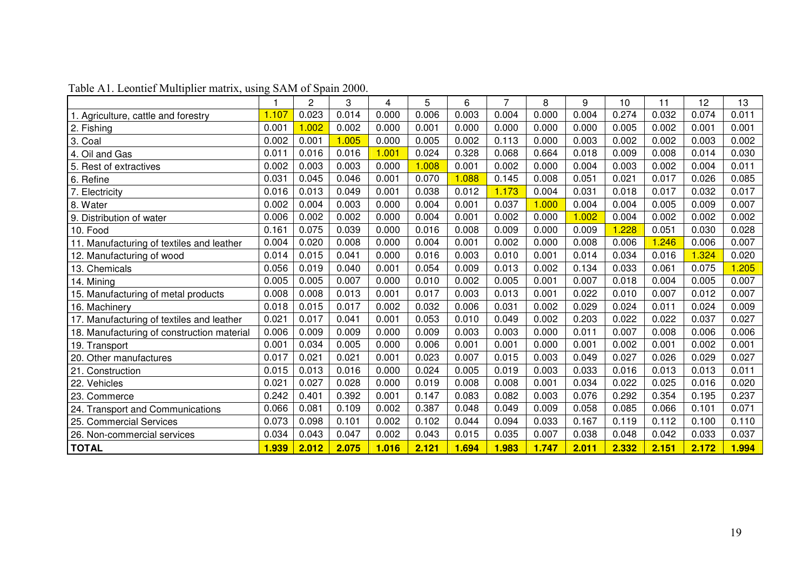|                                            |       | 2     | 3     | 4     | 5     | 6     | 7     | 8     | 9     | 10    | 11    | 12    | 13    |
|--------------------------------------------|-------|-------|-------|-------|-------|-------|-------|-------|-------|-------|-------|-------|-------|
| . Agriculture, cattle and forestry         | 1.107 | 0.023 | 0.014 | 0.000 | 0.006 | 0.003 | 0.004 | 0.000 | 0.004 | 0.274 | 0.032 | 0.074 | 0.011 |
| 2. Fishing                                 | 0.001 | 1.002 | 0.002 | 0.000 | 0.001 | 0.000 | 0.000 | 0.000 | 0.000 | 0.005 | 0.002 | 0.001 | 0.001 |
| 3. Coal                                    | 0.002 | 0.001 | 1.005 | 0.000 | 0.005 | 0.002 | 0.113 | 0.000 | 0.003 | 0.002 | 0.002 | 0.003 | 0.002 |
| 4. Oil and Gas                             | 0.011 | 0.016 | 0.016 | 1.001 | 0.024 | 0.328 | 0.068 | 0.664 | 0.018 | 0.009 | 0.008 | 0.014 | 0.030 |
| 5. Rest of extractives                     | 0.002 | 0.003 | 0.003 | 0.000 | 1.008 | 0.001 | 0.002 | 0.000 | 0.004 | 0.003 | 0.002 | 0.004 | 0.011 |
| 6. Refine                                  | 0.031 | 0.045 | 0.046 | 0.001 | 0.070 | 1.088 | 0.145 | 0.008 | 0.051 | 0.021 | 0.017 | 0.026 | 0.085 |
| Electricity                                | 0.016 | 0.013 | 0.049 | 0.001 | 0.038 | 0.012 | 1.173 | 0.004 | 0.031 | 0.018 | 0.017 | 0.032 | 0.017 |
| 8. Water                                   | 0.002 | 0.004 | 0.003 | 0.000 | 0.004 | 0.001 | 0.037 | 1.000 | 0.004 | 0.004 | 0.005 | 0.009 | 0.007 |
| 9. Distribution of water                   | 0.006 | 0.002 | 0.002 | 0.000 | 0.004 | 0.001 | 0.002 | 0.000 | 1.002 | 0.004 | 0.002 | 0.002 | 0.002 |
| 10. Food                                   | 0.161 | 0.075 | 0.039 | 0.000 | 0.016 | 0.008 | 0.009 | 0.000 | 0.009 | 1.228 | 0.051 | 0.030 | 0.028 |
| 11. Manufacturing of textiles and leather  | 0.004 | 0.020 | 0.008 | 0.000 | 0.004 | 0.001 | 0.002 | 0.000 | 0.008 | 0.006 | 1.246 | 0.006 | 0.007 |
| 12. Manufacturing of wood                  | 0.014 | 0.015 | 0.041 | 0.000 | 0.016 | 0.003 | 0.010 | 0.001 | 0.014 | 0.034 | 0.016 | 1.324 | 0.020 |
| 13. Chemicals                              | 0.056 | 0.019 | 0.040 | 0.001 | 0.054 | 0.009 | 0.013 | 0.002 | 0.134 | 0.033 | 0.061 | 0.075 | 1.205 |
| 14. Mining                                 | 0.005 | 0.005 | 0.007 | 0.000 | 0.010 | 0.002 | 0.005 | 0.001 | 0.007 | 0.018 | 0.004 | 0.005 | 0.007 |
| 15. Manufacturing of metal products        | 0.008 | 0.008 | 0.013 | 0.001 | 0.017 | 0.003 | 0.013 | 0.001 | 0.022 | 0.010 | 0.007 | 0.012 | 0.007 |
| 16. Machinery                              | 0.018 | 0.015 | 0.017 | 0.002 | 0.032 | 0.006 | 0.031 | 0.002 | 0.029 | 0.024 | 0.011 | 0.024 | 0.009 |
| 17. Manufacturing of textiles and leather  | 0.021 | 0.017 | 0.041 | 0.001 | 0.053 | 0.010 | 0.049 | 0.002 | 0.203 | 0.022 | 0.022 | 0.037 | 0.027 |
| 18. Manufacturing of construction material | 0.006 | 0.009 | 0.009 | 0.000 | 0.009 | 0.003 | 0.003 | 0.000 | 0.011 | 0.007 | 0.008 | 0.006 | 0.006 |
| 19. Transport                              | 0.001 | 0.034 | 0.005 | 0.000 | 0.006 | 0.001 | 0.001 | 0.000 | 0.001 | 0.002 | 0.001 | 0.002 | 0.001 |
| 20. Other manufactures                     | 0.017 | 0.021 | 0.021 | 0.001 | 0.023 | 0.007 | 0.015 | 0.003 | 0.049 | 0.027 | 0.026 | 0.029 | 0.027 |
| 21. Construction                           | 0.015 | 0.013 | 0.016 | 0.000 | 0.024 | 0.005 | 0.019 | 0.003 | 0.033 | 0.016 | 0.013 | 0.013 | 0.011 |
| 22. Vehicles                               | 0.021 | 0.027 | 0.028 | 0.000 | 0.019 | 0.008 | 0.008 | 0.001 | 0.034 | 0.022 | 0.025 | 0.016 | 0.020 |
| 23. Commerce                               | 0.242 | 0.401 | 0.392 | 0.001 | 0.147 | 0.083 | 0.082 | 0.003 | 0.076 | 0.292 | 0.354 | 0.195 | 0.237 |
| 24. Transport and Communications           | 0.066 | 0.081 | 0.109 | 0.002 | 0.387 | 0.048 | 0.049 | 0.009 | 0.058 | 0.085 | 0.066 | 0.101 | 0.071 |
| 25. Commercial Services                    | 0.073 | 0.098 | 0.101 | 0.002 | 0.102 | 0.044 | 0.094 | 0.033 | 0.167 | 0.119 | 0.112 | 0.100 | 0.110 |
| 26. Non-commercial services                | 0.034 | 0.043 | 0.047 | 0.002 | 0.043 | 0.015 | 0.035 | 0.007 | 0.038 | 0.048 | 0.042 | 0.033 | 0.037 |
| <b>TOTAL</b>                               | 1.939 | 2.012 | 2.075 | 1.016 | 2.121 | 1.694 | 1.983 | 1.747 | 2.011 | 2.332 | 2.151 | 2.172 | 1.994 |

### Table A1. Leontief Multiplier matrix, using SAM of Spain 2000.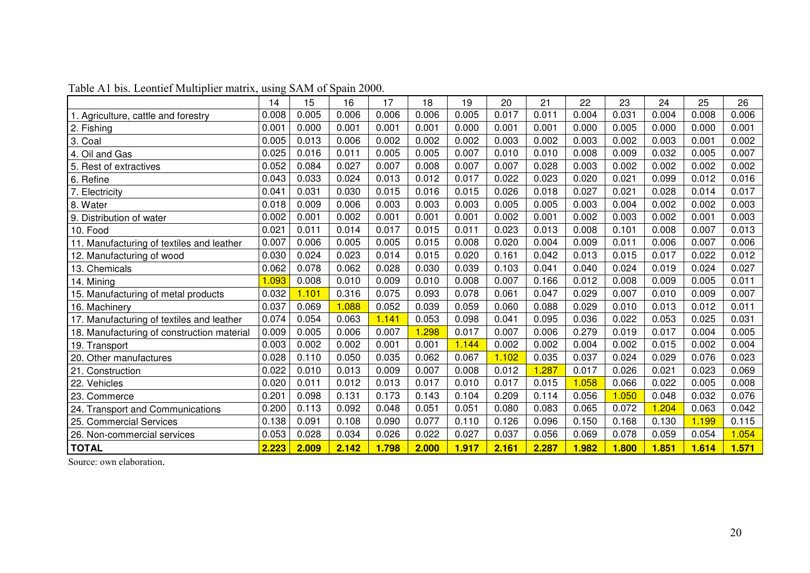|                                            | 14    | 15    | 16    | 17    | 18    | 19    | 20    | 21    | 22    | 23    | 24    | 25    | 26    |
|--------------------------------------------|-------|-------|-------|-------|-------|-------|-------|-------|-------|-------|-------|-------|-------|
| Agriculture, cattle and forestry           | 0.008 | 0.005 | 0.006 | 0.006 | 0.006 | 0.005 | 0.017 | 0.011 | 0.004 | 0.031 | 0.004 | 0.008 | 0.006 |
| 2. Fishing                                 | 0.001 | 0.000 | 0.001 | 0.001 | 0.001 | 0.000 | 0.001 | 0.001 | 0.000 | 0.005 | 0.000 | 0.000 | 0.001 |
| 3. Coal                                    | 0.005 | 0.013 | 0.006 | 0.002 | 0.002 | 0.002 | 0.003 | 0.002 | 0.003 | 0.002 | 0.003 | 0.001 | 0.002 |
| 4. Oil and Gas                             | 0.025 | 0.016 | 0.011 | 0.005 | 0.005 | 0.007 | 0.010 | 0.010 | 0.008 | 0.009 | 0.032 | 0.005 | 0.007 |
| 5. Rest of extractives                     | 0.052 | 0.084 | 0.027 | 0.007 | 0.008 | 0.007 | 0.007 | 0.028 | 0.003 | 0.002 | 0.002 | 0.002 | 0.002 |
| 6. Refine                                  | 0.043 | 0.033 | 0.024 | 0.013 | 0.012 | 0.017 | 0.022 | 0.023 | 0.020 | 0.021 | 0.099 | 0.012 | 0.016 |
| . Electricity                              | 0.041 | 0.031 | 0.030 | 0.015 | 0.016 | 0.015 | 0.026 | 0.018 | 0.027 | 0.021 | 0.028 | 0.014 | 0.017 |
| 8. Water                                   | 0.018 | 0.009 | 0.006 | 0.003 | 0.003 | 0.003 | 0.005 | 0.005 | 0.003 | 0.004 | 0.002 | 0.002 | 0.003 |
| 9. Distribution of water                   | 0.002 | 0.001 | 0.002 | 0.001 | 0.001 | 0.001 | 0.002 | 0.001 | 0.002 | 0.003 | 0.002 | 0.001 | 0.003 |
| 10. Food                                   | 0.021 | 0.011 | 0.014 | 0.017 | 0.015 | 0.011 | 0.023 | 0.013 | 0.008 | 0.101 | 0.008 | 0.007 | 0.013 |
| 11. Manufacturing of textiles and leather  | 0.007 | 0.006 | 0.005 | 0.005 | 0.015 | 0.008 | 0.020 | 0.004 | 0.009 | 0.011 | 0.006 | 0.007 | 0.006 |
| 12. Manufacturing of wood                  | 0.030 | 0.024 | 0.023 | 0.014 | 0.015 | 0.020 | 0.161 | 0.042 | 0.013 | 0.015 | 0.017 | 0.022 | 0.012 |
| 13. Chemicals                              | 0.062 | 0.078 | 0.062 | 0.028 | 0.030 | 0.039 | 0.103 | 0.041 | 0.040 | 0.024 | 0.019 | 0.024 | 0.027 |
| 14. Mining                                 | 1.093 | 0.008 | 0.010 | 0.009 | 0.010 | 0.008 | 0.007 | 0.166 | 0.012 | 0.008 | 0.009 | 0.005 | 0.011 |
| 15. Manufacturing of metal products        | 0.032 | 1.101 | 0.316 | 0.075 | 0.093 | 0.078 | 0.061 | 0.047 | 0.029 | 0.007 | 0.010 | 0.009 | 0.007 |
| 16. Machinery                              | 0.037 | 0.069 | 1.088 | 0.052 | 0.039 | 0.059 | 0.060 | 0.088 | 0.029 | 0.010 | 0.013 | 0.012 | 0.011 |
| 17. Manufacturing of textiles and leather  | 0.074 | 0.054 | 0.063 | 1.141 | 0.053 | 0.098 | 0.041 | 0.095 | 0.036 | 0.022 | 0.053 | 0.025 | 0.031 |
| 18. Manufacturing of construction material | 0.009 | 0.005 | 0.006 | 0.007 | .298  | 0.017 | 0.007 | 0.006 | 0.279 | 0.019 | 0.017 | 0.004 | 0.005 |
| 19. Transport                              | 0.003 | 0.002 | 0.002 | 0.001 | 0.001 | 1.144 | 0.002 | 0.002 | 0.004 | 0.002 | 0.015 | 0.002 | 0.004 |
| 20. Other manufactures                     | 0.028 | 0.110 | 0.050 | 0.035 | 0.062 | 0.067 | 1.102 | 0.035 | 0.037 | 0.024 | 0.029 | 0.076 | 0.023 |
| 21. Construction                           | 0.022 | 0.010 | 0.013 | 0.009 | 0.007 | 0.008 | 0.012 | 1.287 | 0.017 | 0.026 | 0.021 | 0.023 | 0.069 |
| 22. Vehicles                               | 0.020 | 0.011 | 0.012 | 0.013 | 0.017 | 0.010 | 0.017 | 0.015 | 1.058 | 0.066 | 0.022 | 0.005 | 0.008 |
| 23. Commerce                               | 0.201 | 0.098 | 0.131 | 0.173 | 0.143 | 0.104 | 0.209 | 0.114 | 0.056 | 1.050 | 0.048 | 0.032 | 0.076 |
| 24. Transport and Communications           | 0.200 | 0.113 | 0.092 | 0.048 | 0.051 | 0.051 | 0.080 | 0.083 | 0.065 | 0.072 | 1.204 | 0.063 | 0.042 |
| 25. Commercial Services                    | 0.138 | 0.091 | 0.108 | 0.090 | 0.077 | 0.110 | 0.126 | 0.096 | 0.150 | 0.168 | 0.130 | 1.199 | 0.115 |
| 26. Non-commercial services                | 0.053 | 0.028 | 0.034 | 0.026 | 0.022 | 0.027 | 0.037 | 0.056 | 0.069 | 0.078 | 0.059 | 0.054 | 1.054 |
| <b>TOTAL</b>                               | 2.223 | 2.009 | 2.142 | 1.798 | 2.000 | 1.917 | 2.161 | 2.287 | 1.982 | 1.800 | 1.851 | 1.614 | 1.571 |

### Table A1 bis. Leontief Multiplier matrix, using SAM of Spain 2000.

Source: own elaboration.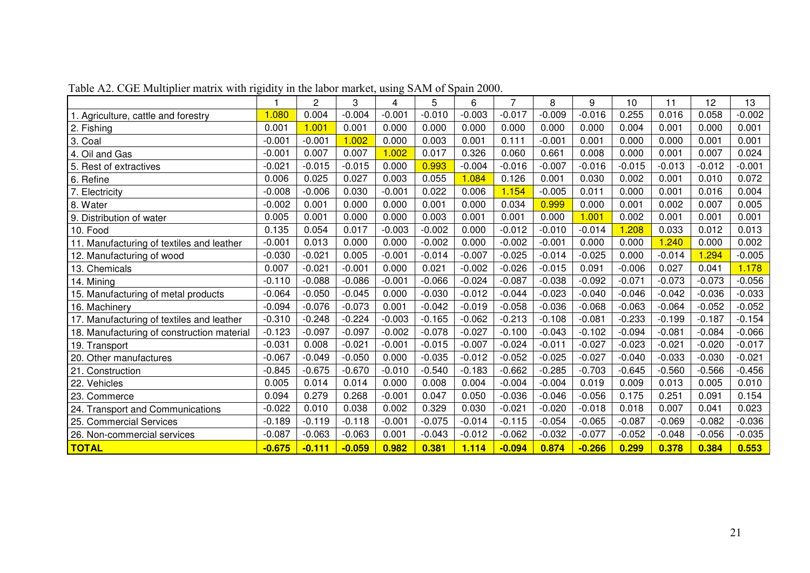|                                            |          | $\overline{c}$ | 3        | 4        | 5        | 6        | 7        | 8        | 9        | 10       | 11       | 12       | 13       |
|--------------------------------------------|----------|----------------|----------|----------|----------|----------|----------|----------|----------|----------|----------|----------|----------|
| . Agriculture, cattle and forestry         | 1.080    | 0.004          | $-0.004$ | $-0.001$ | $-0.010$ | $-0.003$ | $-0.017$ | $-0.009$ | $-0.016$ | 0.255    | 0.016    | 0.058    | $-0.002$ |
| 2. Fishing                                 | 0.001    | 1.001          | 0.001    | 0.000    | 0.000    | 0.000    | 0.000    | 0.000    | 0.000    | 0.004    | 0.001    | 0.000    | 0.001    |
| 3. Coal                                    | $-0.001$ | $-0.001$       | 1.002    | 0.000    | 0.003    | 0.001    | 0.111    | $-0.001$ | 0.001    | 0.000    | 0.000    | 0.001    | 0.001    |
| 4. Oil and Gas                             | $-0.001$ | 0.007          | 0.007    | 1.002    | 0.017    | 0.326    | 0.060    | 0.661    | 0.008    | 0.000    | 0.001    | 0.007    | 0.024    |
| 5. Rest of extractives                     | $-0.021$ | $-0.015$       | $-0.015$ | 0.000    | 0.993    | $-0.004$ | $-0.016$ | $-0.007$ | $-0.016$ | $-0.015$ | $-0.013$ | $-0.012$ | $-0.001$ |
| 6. Refine                                  | 0.006    | 0.025          | 0.027    | 0.003    | 0.055    | 1.084    | 0.126    | 0.001    | 0.030    | 0.002    | 0.001    | 0.010    | 0.072    |
| 7. Electricity                             | $-0.008$ | $-0.006$       | 0.030    | $-0.001$ | 0.022    | 0.006    | 1.154    | $-0.005$ | 0.011    | 0.000    | 0.001    | 0.016    | 0.004    |
| 8. Water                                   | $-0.002$ | 0.001          | 0.000    | 0.000    | 0.001    | 0.000    | 0.034    | 0.999    | 0.000    | 0.001    | 0.002    | 0.007    | 0.005    |
| 9. Distribution of water                   | 0.005    | 0.001          | 0.000    | 0.000    | 0.003    | 0.001    | 0.001    | 0.000    | 1.001    | 0.002    | 0.001    | 0.001    | 0.001    |
| 10. Food                                   | 0.135    | 0.054          | 0.017    | $-0.003$ | $-0.002$ | 0.000    | $-0.012$ | $-0.010$ | $-0.014$ | 1.208    | 0.033    | 0.012    | 0.013    |
| 11. Manufacturing of textiles and leather  | $-0.001$ | 0.013          | 0.000    | 0.000    | $-0.002$ | 0.000    | $-0.002$ | $-0.001$ | 0.000    | 0.000    | 1.240    | 0.000    | 0.002    |
| 12. Manufacturing of wood                  | $-0.030$ | $-0.021$       | 0.005    | $-0.001$ | $-0.014$ | $-0.007$ | $-0.025$ | $-0.014$ | $-0.025$ | 0.000    | $-0.014$ | .294     | $-0.005$ |
| 13. Chemicals                              | 0.007    | $-0.021$       | $-0.001$ | 0.000    | 0.021    | $-0.002$ | $-0.026$ | $-0.015$ | 0.091    | $-0.006$ | 0.027    | 0.041    | 1.178    |
| 14. Mining                                 | $-0.110$ | $-0.088$       | $-0.086$ | $-0.001$ | $-0.066$ | $-0.024$ | $-0.087$ | $-0.038$ | $-0.092$ | $-0.071$ | $-0.073$ | $-0.073$ | $-0.056$ |
| 15. Manufacturing of metal products        | $-0.064$ | $-0.050$       | $-0.045$ | 0.000    | $-0.030$ | $-0.012$ | $-0.044$ | $-0.023$ | $-0.040$ | $-0.046$ | $-0.042$ | $-0.036$ | $-0.033$ |
| 16. Machinery                              | $-0.094$ | $-0.076$       | $-0.073$ | 0.001    | $-0.042$ | $-0.019$ | $-0.058$ | $-0.036$ | $-0.068$ | $-0.063$ | $-0.064$ | $-0.052$ | $-0.052$ |
| 17. Manufacturing of textiles and leather  | $-0.310$ | $-0.248$       | $-0.224$ | $-0.003$ | $-0.165$ | $-0.062$ | $-0.213$ | $-0.108$ | $-0.081$ | $-0.233$ | $-0.199$ | $-0.187$ | $-0.154$ |
| 18. Manufacturing of construction material | $-0.123$ | $-0.097$       | $-0.097$ | $-0.002$ | $-0.078$ | $-0.027$ | $-0.100$ | $-0.043$ | $-0.102$ | $-0.094$ | $-0.081$ | $-0.084$ | $-0.066$ |
| 19. Transport                              | $-0.031$ | 0.008          | $-0.021$ | $-0.001$ | $-0.015$ | $-0.007$ | $-0.024$ | $-0.011$ | $-0.027$ | $-0.023$ | $-0.021$ | $-0.020$ | $-0.017$ |
| 20. Other manufactures                     | $-0.067$ | $-0.049$       | $-0.050$ | 0.000    | $-0.035$ | $-0.012$ | $-0.052$ | $-0.025$ | $-0.027$ | $-0.040$ | $-0.033$ | $-0.030$ | $-0.021$ |
| 21. Construction                           | $-0.845$ | $-0.675$       | $-0.670$ | $-0.010$ | $-0.540$ | $-0.183$ | $-0.662$ | $-0.285$ | $-0.703$ | $-0.645$ | $-0.560$ | $-0.566$ | $-0.456$ |
| 22. Vehicles                               | 0.005    | 0.014          | 0.014    | 0.000    | 0.008    | 0.004    | $-0.004$ | $-0.004$ | 0.019    | 0.009    | 0.013    | 0.005    | 0.010    |
| 23. Commerce                               | 0.094    | 0.279          | 0.268    | $-0.001$ | 0.047    | 0.050    | $-0.036$ | $-0.046$ | $-0.056$ | 0.175    | 0.251    | 0.091    | 0.154    |
| 24. Transport and Communications           | $-0.022$ | 0.010          | 0.038    | 0.002    | 0.329    | 0.030    | $-0.021$ | $-0.020$ | $-0.018$ | 0.018    | 0.007    | 0.041    | 0.023    |
| 25. Commercial Services                    | $-0.189$ | $-0.119$       | $-0.118$ | $-0.001$ | $-0.075$ | $-0.014$ | $-0.115$ | $-0.054$ | $-0.065$ | $-0.087$ | $-0.069$ | $-0.082$ | $-0.036$ |
| 26. Non-commercial services                | $-0.087$ | $-0.063$       | $-0.063$ | 0.001    | $-0.043$ | $-0.012$ | $-0.062$ | $-0.032$ | $-0.077$ | $-0.052$ | $-0.048$ | $-0.056$ | $-0.035$ |
| <b>TOTAL</b>                               | $-0.675$ | $-0.111$       | $-0.059$ | 0.982    | 0.381    | 1.114    | $-0.094$ | 0.874    | $-0.266$ | 0.299    | 0.378    | 0.384    | 0.553    |

Table A2. CGE Multiplier matrix with rigidity in the labor market, using SAM of Spain 2000.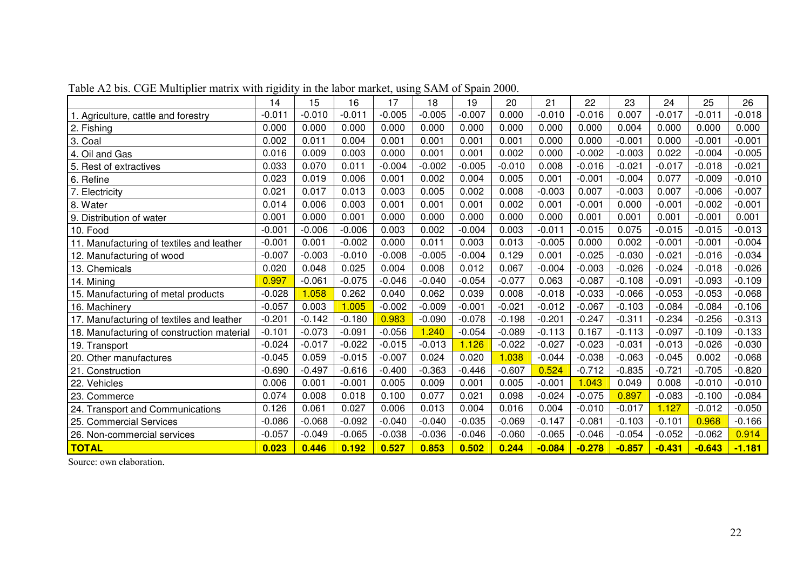|                                            | 14       | 15       | 16       | 17       | 18       | 19       | 20       | 21       | 22       | 23       | 24       | 25       | 26       |
|--------------------------------------------|----------|----------|----------|----------|----------|----------|----------|----------|----------|----------|----------|----------|----------|
| . Agriculture, cattle and forestry         | $-0.011$ | $-0.010$ | $-0.011$ | $-0.005$ | $-0.005$ | $-0.007$ | 0.000    | $-0.010$ | $-0.016$ | 0.007    | $-0.017$ | $-0.011$ | $-0.018$ |
| 2. Fishing                                 | 0.000    | 0.000    | 0.000    | 0.000    | 0.000    | 0.000    | 0.000    | 0.000    | 0.000    | 0.004    | 0.000    | 0.000    | 0.000    |
| 3. Coal                                    | 0.002    | 0.011    | 0.004    | 0.001    | 0.001    | 0.001    | 0.001    | 0.000    | 0.000    | $-0.001$ | 0.000    | $-0.001$ | $-0.001$ |
| 4. Oil and Gas                             | 0.016    | 0.009    | 0.003    | 0.000    | 0.001    | 0.001    | 0.002    | 0.000    | $-0.002$ | $-0.003$ | 0.022    | $-0.004$ | $-0.005$ |
| 5. Rest of extractives                     | 0.033    | 0.070    | 0.011    | $-0.004$ | $-0.002$ | $-0.005$ | $-0.010$ | 0.008    | $-0.016$ | $-0.021$ | $-0.017$ | $-0.018$ | $-0.021$ |
| 6. Refine                                  | 0.023    | 0.019    | 0.006    | 0.001    | 0.002    | 0.004    | 0.005    | 0.001    | $-0.001$ | $-0.004$ | 0.077    | $-0.009$ | $-0.010$ |
| 7. Electricity                             | 0.021    | 0.017    | 0.013    | 0.003    | 0.005    | 0.002    | 0.008    | $-0.003$ | 0.007    | $-0.003$ | 0.007    | $-0.006$ | $-0.007$ |
| 8. Water                                   | 0.014    | 0.006    | 0.003    | 0.001    | 0.001    | 0.001    | 0.002    | 0.001    | $-0.001$ | 0.000    | $-0.001$ | $-0.002$ | $-0.001$ |
| 9. Distribution of water                   | 0.001    | 0.000    | 0.001    | 0.000    | 0.000    | 0.000    | 0.000    | 0.000    | 0.001    | 0.001    | 0.001    | $-0.001$ | 0.001    |
| 10. Food                                   | $-0.001$ | $-0.006$ | $-0.006$ | 0.003    | 0.002    | $-0.004$ | 0.003    | $-0.011$ | $-0.015$ | 0.075    | $-0.015$ | $-0.015$ | $-0.013$ |
| 11. Manufacturing of textiles and leather  | $-0.001$ | 0.001    | $-0.002$ | 0.000    | 0.011    | 0.003    | 0.013    | $-0.005$ | 0.000    | 0.002    | $-0.001$ | $-0.001$ | $-0.004$ |
| 12. Manufacturing of wood                  | $-0.007$ | $-0.003$ | $-0.010$ | $-0.008$ | $-0.005$ | $-0.004$ | 0.129    | 0.001    | $-0.025$ | $-0.030$ | $-0.021$ | $-0.016$ | $-0.034$ |
| 13. Chemicals                              | 0.020    | 0.048    | 0.025    | 0.004    | 0.008    | 0.012    | 0.067    | $-0.004$ | $-0.003$ | $-0.026$ | $-0.024$ | $-0.018$ | $-0.026$ |
| 14. Mining                                 | 0.997    | $-0.061$ | $-0.075$ | $-0.046$ | $-0.040$ | $-0.054$ | $-0.077$ | 0.063    | $-0.087$ | $-0.108$ | $-0.091$ | $-0.093$ | $-0.109$ |
| 15. Manufacturing of metal products        | $-0.028$ | 1.058    | 0.262    | 0.040    | 0.062    | 0.039    | 0.008    | $-0.018$ | $-0.033$ | $-0.066$ | $-0.053$ | $-0.053$ | $-0.068$ |
| 16. Machinery                              | $-0.057$ | 0.003    | 1.005    | $-0.002$ | $-0.009$ | $-0.001$ | $-0.021$ | $-0.012$ | $-0.067$ | $-0.103$ | $-0.084$ | $-0.084$ | $-0.106$ |
| 17. Manufacturing of textiles and leather  | $-0.201$ | $-0.142$ | $-0.180$ | 0.983    | $-0.090$ | $-0.078$ | $-0.198$ | $-0.201$ | $-0.247$ | $-0.311$ | $-0.234$ | $-0.256$ | $-0.313$ |
| 18. Manufacturing of construction material | $-0.101$ | $-0.073$ | $-0.091$ | $-0.056$ | .240     | $-0.054$ | $-0.089$ | $-0.113$ | 0.167    | $-0.113$ | $-0.097$ | $-0.109$ | $-0.133$ |
| 19. Transport                              | $-0.024$ | $-0.017$ | $-0.022$ | $-0.015$ | $-0.013$ | 1.126    | $-0.022$ | $-0.027$ | $-0.023$ | $-0.031$ | $-0.013$ | $-0.026$ | $-0.030$ |
| 20. Other manufactures                     | $-0.045$ | 0.059    | $-0.015$ | $-0.007$ | 0.024    | 0.020    | 1.038    | $-0.044$ | $-0.038$ | $-0.063$ | $-0.045$ | 0.002    | $-0.068$ |
| 21. Construction                           | $-0.690$ | $-0.497$ | $-0.616$ | $-0.400$ | $-0.363$ | $-0.446$ | $-0.607$ | 0.524    | $-0.712$ | $-0.835$ | $-0.721$ | $-0.705$ | $-0.820$ |
| 22. Vehicles                               | 0.006    | 0.001    | $-0.001$ | 0.005    | 0.009    | 0.001    | 0.005    | $-0.001$ | 1.043    | 0.049    | 0.008    | $-0.010$ | $-0.010$ |
| 23. Commerce                               | 0.074    | 0.008    | 0.018    | 0.100    | 0.077    | 0.021    | 0.098    | $-0.024$ | $-0.075$ | 0.897    | $-0.083$ | $-0.100$ | $-0.084$ |
| 24. Transport and Communications           | 0.126    | 0.061    | 0.027    | 0.006    | 0.013    | 0.004    | 0.016    | 0.004    | $-0.010$ | $-0.017$ | 1.127    | $-0.012$ | $-0.050$ |
| 25. Commercial Services                    | $-0.086$ | $-0.068$ | $-0.092$ | $-0.040$ | $-0.040$ | $-0.035$ | $-0.069$ | $-0.147$ | $-0.081$ | $-0.103$ | $-0.101$ | 0.968    | $-0.166$ |
| 26. Non-commercial services                | $-0.057$ | $-0.049$ | $-0.065$ | $-0.038$ | $-0.036$ | $-0.046$ | $-0.060$ | $-0.065$ | $-0.046$ | $-0.054$ | $-0.052$ | $-0.062$ | 0.914    |
| <b>TOTAL</b>                               | 0.023    | 0.446    | 0.192    | 0.527    | 0.853    | 0.502    | 0.244    | $-0.084$ | $-0.278$ | $-0.857$ | $-0.431$ | $-0.643$ | $-1.181$ |

Table A2 bis. CGE Multiplier matrix with rigidity in the labor market, using SAM of Spain 2000.

Source: own elaboration.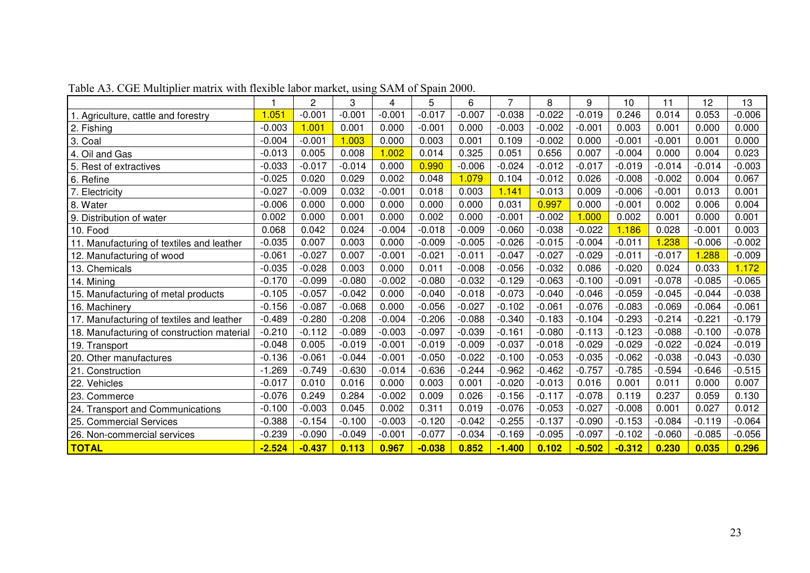|                                            | 1        | $\overline{c}$ | 3        | 4        | 5        | 6        | 7        | 8        | 9        | 10       | 11       | 12       | 13       |
|--------------------------------------------|----------|----------------|----------|----------|----------|----------|----------|----------|----------|----------|----------|----------|----------|
| . Agriculture, cattle and forestry         | 1.051    | $-0.001$       | $-0.001$ | $-0.001$ | $-0.017$ | $-0.007$ | $-0.038$ | $-0.022$ | $-0.019$ | 0.246    | 0.014    | 0.053    | $-0.006$ |
| 2. Fishing                                 | $-0.003$ | 1.001          | 0.001    | 0.000    | $-0.001$ | 0.000    | $-0.003$ | $-0.002$ | $-0.001$ | 0.003    | 0.001    | 0.000    | 0.000    |
| 3. Coal                                    | $-0.004$ | $-0.001$       | 1.003    | 0.000    | 0.003    | 0.001    | 0.109    | $-0.002$ | 0.000    | $-0.001$ | $-0.001$ | 0.001    | 0.000    |
| 4. Oil and Gas                             | $-0.013$ | 0.005          | 0.008    | 1.002    | 0.014    | 0.325    | 0.051    | 0.656    | 0.007    | $-0.004$ | 0.000    | 0.004    | 0.023    |
| 5. Rest of extractives                     | $-0.033$ | $-0.017$       | $-0.014$ | 0.000    | 0.990    | $-0.006$ | $-0.024$ | $-0.012$ | $-0.017$ | $-0.019$ | $-0.014$ | $-0.014$ | $-0.003$ |
| 6. Refine                                  | $-0.025$ | 0.020          | 0.029    | 0.002    | 0.048    | 1.079    | 0.104    | $-0.012$ | 0.026    | $-0.008$ | $-0.002$ | 0.004    | 0.067    |
| . Electricity                              | $-0.027$ | $-0.009$       | 0.032    | $-0.001$ | 0.018    | 0.003    | 1.141    | $-0.013$ | 0.009    | $-0.006$ | $-0.001$ | 0.013    | 0.001    |
| 8. Water                                   | $-0.006$ | 0.000          | 0.000    | 0.000    | 0.000    | 0.000    | 0.031    | 0.997    | 0.000    | $-0.001$ | 0.002    | 0.006    | 0.004    |
| 9. Distribution of water                   | 0.002    | 0.000          | 0.001    | 0.000    | 0.002    | 0.000    | $-0.001$ | $-0.002$ | 1.000    | 0.002    | 0.001    | 0.000    | 0.001    |
| 10. Food                                   | 0.068    | 0.042          | 0.024    | $-0.004$ | $-0.018$ | $-0.009$ | $-0.060$ | $-0.038$ | $-0.022$ | 1.186    | 0.028    | $-0.001$ | 0.003    |
| 11. Manufacturing of textiles and leather  | $-0.035$ | 0.007          | 0.003    | 0.000    | $-0.009$ | $-0.005$ | $-0.026$ | $-0.015$ | $-0.004$ | $-0.011$ | 1.238    | $-0.006$ | $-0.002$ |
| 12. Manufacturing of wood                  | $-0.061$ | $-0.027$       | 0.007    | $-0.001$ | $-0.021$ | $-0.011$ | $-0.047$ | $-0.027$ | $-0.029$ | $-0.011$ | $-0.017$ | 1.288    | $-0.009$ |
| 13. Chemicals                              | $-0.035$ | $-0.028$       | 0.003    | 0.000    | 0.011    | $-0.008$ | $-0.056$ | $-0.032$ | 0.086    | $-0.020$ | 0.024    | 0.033    | 1.172    |
| 14. Mining                                 | $-0.170$ | $-0.099$       | $-0.080$ | $-0.002$ | $-0.080$ | $-0.032$ | $-0.129$ | $-0.063$ | $-0.100$ | $-0.091$ | $-0.078$ | $-0.085$ | $-0.065$ |
| 15. Manufacturing of metal products        | $-0.105$ | $-0.057$       | $-0.042$ | 0.000    | $-0.040$ | $-0.018$ | $-0.073$ | $-0.040$ | $-0.046$ | $-0.059$ | $-0.045$ | $-0.044$ | $-0.038$ |
| 16. Machinery                              | $-0.156$ | $-0.087$       | $-0.068$ | 0.000    | $-0.056$ | $-0.027$ | $-0.102$ | $-0.061$ | $-0.076$ | $-0.083$ | $-0.069$ | $-0.064$ | $-0.061$ |
| 17. Manufacturing of textiles and leather  | $-0.489$ | $-0.280$       | $-0.208$ | $-0.004$ | $-0.206$ | $-0.088$ | $-0.340$ | $-0.183$ | $-0.104$ | $-0.293$ | $-0.214$ | $-0.221$ | $-0.179$ |
| 18. Manufacturing of construction material | $-0.210$ | $-0.112$       | $-0.089$ | $-0.003$ | $-0.097$ | $-0.039$ | $-0.161$ | $-0.080$ | $-0.113$ | $-0.123$ | $-0.088$ | $-0.100$ | $-0.078$ |
| 19. Transport                              | $-0.048$ | 0.005          | $-0.019$ | $-0.001$ | $-0.019$ | $-0.009$ | $-0.037$ | $-0.018$ | $-0.029$ | $-0.029$ | $-0.022$ | $-0.024$ | $-0.019$ |
| 20. Other manufactures                     | $-0.136$ | $-0.061$       | $-0.044$ | $-0.001$ | $-0.050$ | $-0.022$ | $-0.100$ | $-0.053$ | $-0.035$ | $-0.062$ | $-0.038$ | $-0.043$ | $-0.030$ |
| 21. Construction                           | $-1.269$ | $-0.749$       | $-0.630$ | $-0.014$ | $-0.636$ | $-0.244$ | $-0.962$ | $-0.462$ | $-0.757$ | $-0.785$ | $-0.594$ | $-0.646$ | $-0.515$ |
| 22. Vehicles                               | $-0.017$ | 0.010          | 0.016    | 0.000    | 0.003    | 0.001    | $-0.020$ | $-0.013$ | 0.016    | 0.001    | 0.011    | 0.000    | 0.007    |
| 23. Commerce                               | $-0.076$ | 0.249          | 0.284    | $-0.002$ | 0.009    | 0.026    | $-0.156$ | $-0.117$ | $-0.078$ | 0.119    | 0.237    | 0.059    | 0.130    |
| 24. Transport and Communications           | $-0.100$ | $-0.003$       | 0.045    | 0.002    | 0.311    | 0.019    | $-0.076$ | $-0.053$ | $-0.027$ | $-0.008$ | 0.001    | 0.027    | 0.012    |
| 25. Commercial Services                    | $-0.388$ | $-0.154$       | $-0.100$ | $-0.003$ | $-0.120$ | $-0.042$ | $-0.255$ | $-0.137$ | $-0.090$ | $-0.153$ | $-0.084$ | $-0.119$ | $-0.064$ |
| 26. Non-commercial services                | $-0.239$ | $-0.090$       | $-0.049$ | $-0.001$ | $-0.077$ | $-0.034$ | $-0.169$ | $-0.095$ | $-0.097$ | $-0.102$ | $-0.060$ | $-0.085$ | $-0.056$ |
| <b>TOTAL</b>                               | $-2.524$ | $-0.437$       | 0.113    | 0.967    | $-0.038$ | 0.852    | $-1.400$ | 0.102    | $-0.502$ | $-0.312$ | 0.230    | 0.035    | 0.296    |

Table A3. CGE Multiplier matrix with flexible labor market, using SAM of Spain 2000.